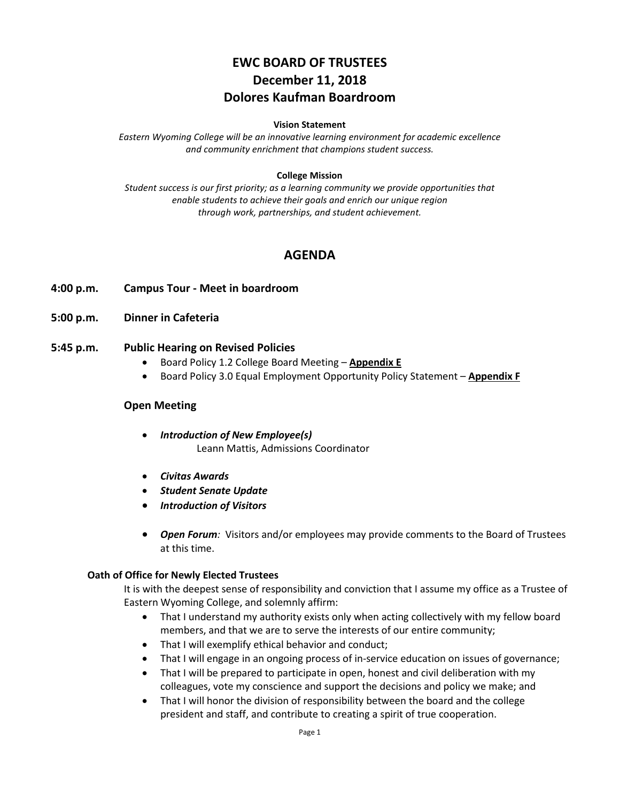# **EWC BOARD OF TRUSTEES December 11, 2018 Dolores Kaufman Boardroom**

#### **Vision Statement**

*Eastern Wyoming College will be an innovative learning environment for academic excellence and community enrichment that champions student success.*

#### **College Mission**

*Student success is our first priority; as a learning community we provide opportunities that enable students to achieve their goals and enrich our unique region through work, partnerships, and student achievement.*

# **AGENDA**

- **4:00 p.m. Campus Tour - Meet in boardroom**
- **5:00 p.m. Dinner in Cafeteria**

#### **5:45 p.m. Public Hearing on Revised Policies**

- Board Policy 1.2 College Board Meeting **Appendix E**
- Board Policy 3.0 Equal Employment Opportunity Policy Statement **Appendix F**

#### **Open Meeting**

- *Introduction of New Employee(s)* Leann Mattis, Admissions Coordinator
- *Civitas Awards*
- *Student Senate Update*
- *Introduction of Visitors*
- *Open Forum:* Visitors and/or employees may provide comments to the Board of Trustees at this time.

#### **Oath of Office for Newly Elected Trustees**

It is with the deepest sense of responsibility and conviction that I assume my office as a Trustee of Eastern Wyoming College, and solemnly affirm:

- That I understand my authority exists only when acting collectively with my fellow board members, and that we are to serve the interests of our entire community;
- That I will exemplify ethical behavior and conduct;
- That I will engage in an ongoing process of in-service education on issues of governance;
- That I will be prepared to participate in open, honest and civil deliberation with my colleagues, vote my conscience and support the decisions and policy we make; and
- That I will honor the division of responsibility between the board and the college president and staff, and contribute to creating a spirit of true cooperation.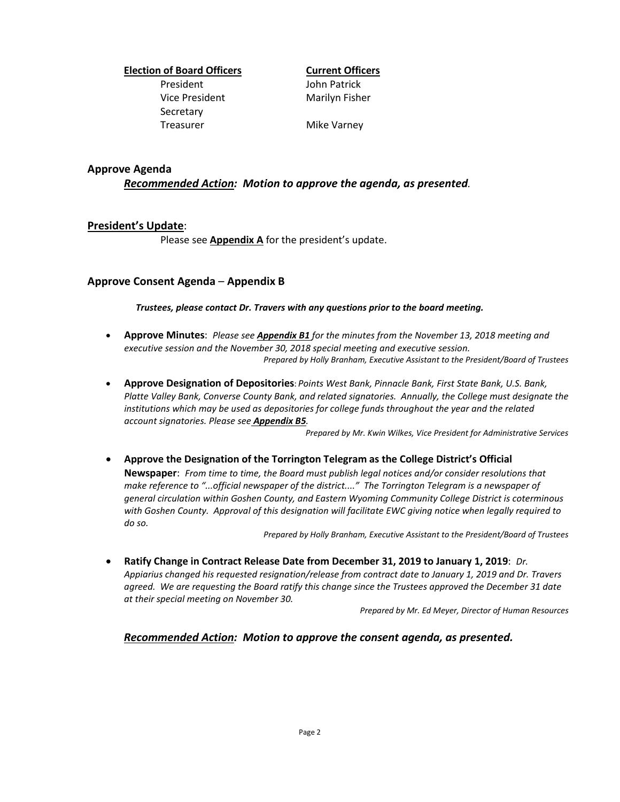# **Election of Board Officers Current Officers**

President John Patrick Vice President Marilyn Fisher Secretary Treasurer Mike Varney

#### **Approve Agenda**

*Recommended Action: Motion to approve the agenda, as presented.*

## **President's Update**:

Please see **Appendix A** for the president's update.

## **Approve Consent Agenda** – **Appendix B**

*Trustees, please contact Dr. Travers with any questions prior to the board meeting.*

- **Approve Minutes**: *Please see Appendix B1 for the minutes from the November 13, 2018 meeting and executive session and the November 30, 2018 special meeting and executive session. Prepared by Holly Branham, Executive Assistant to the President/Board of Trustees*
- **Approve Designation of Depositories**: *Points West Bank, Pinnacle Bank, First State Bank, U.S. Bank, Platte Valley Bank, Converse County Bank, and related signatories. Annually, the College must designate the institutions which may be used as depositories for college funds throughout the year and the related account signatories. Please see Appendix B5.*

*Prepared by Mr. Kwin Wilkes, Vice President for Administrative Services*

• **Approve the Designation of the Torrington Telegram as the College District's Official Newspaper**: *From time to time, the Board must publish legal notices and/or consider resolutions that make reference to "...official newspaper of the district...." The Torrington Telegram is a newspaper of general circulation within Goshen County, and Eastern Wyoming Community College District is coterminous with Goshen County. Approval of this designation will facilitate EWC giving notice when legally required to do so.*

*Prepared by Holly Branham, Executive Assistant to the President/Board of Trustees*

• **Ratify Change in Contract Release Date from December 31, 2019 to January 1, 2019**: *Dr. Appiarius changed his requested resignation/release from contract date to January 1, 2019 and Dr. Travers agreed. We are requesting the Board ratify this change since the Trustees approved the December 31 date at their special meeting on November 30.*

*Prepared by Mr. Ed Meyer, Director of Human Resources*

*Recommended Action: Motion to approve the consent agenda, as presented.*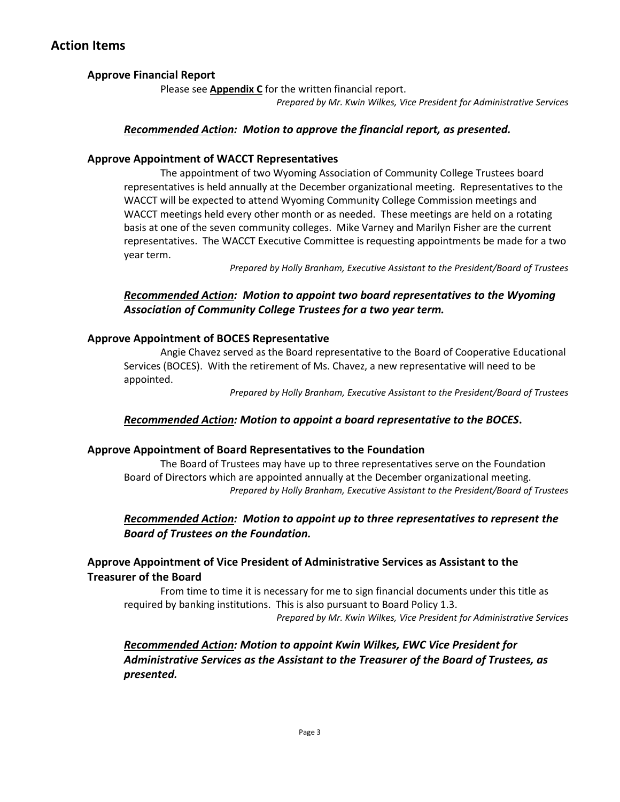# **Action Items**

# **Approve Financial Report**

Please see **Appendix C** for the written financial report.

*Prepared by Mr. Kwin Wilkes, Vice President for Administrative Services*

## *Recommended Action: Motion to approve the financial report, as presented.*

## **Approve Appointment of WACCT Representatives**

The appointment of two Wyoming Association of Community College Trustees board representatives is held annually at the December organizational meeting. Representatives to the WACCT will be expected to attend Wyoming Community College Commission meetings and WACCT meetings held every other month or as needed. These meetings are held on a rotating basis at one of the seven community colleges. Mike Varney and Marilyn Fisher are the current representatives. The WACCT Executive Committee is requesting appointments be made for a two year term.

*Prepared by Holly Branham, Executive Assistant to the President/Board of Trustees*

# *Recommended Action: Motion to appoint two board representatives to the Wyoming Association of Community College Trustees for a two year term.*

## **Approve Appointment of BOCES Representative**

Angie Chavez served as the Board representative to the Board of Cooperative Educational Services (BOCES). With the retirement of Ms. Chavez, a new representative will need to be appointed.

*Prepared by Holly Branham, Executive Assistant to the President/Board of Trustees*

## *Recommended Action: Motion to appoint a board representative to the BOCES***.**

## **Approve Appointment of Board Representatives to the Foundation**

The Board of Trustees may have up to three representatives serve on the Foundation Board of Directors which are appointed annually at the December organizational meeting. *Prepared by Holly Branham, Executive Assistant to the President/Board of Trustees*

# *Recommended Action: Motion to appoint up to three representatives to represent the Board of Trustees on the Foundation.*

**Approve Appointment of Vice President of Administrative Services as Assistant to the Treasurer of the Board**

From time to time it is necessary for me to sign financial documents under this title as required by banking institutions. This is also pursuant to Board Policy 1.3.

*Prepared by Mr. Kwin Wilkes, Vice President for Administrative Services*

# *Recommended Action: Motion to appoint Kwin Wilkes, EWC Vice President for Administrative Services as the Assistant to the Treasurer of the Board of Trustees, as presented.*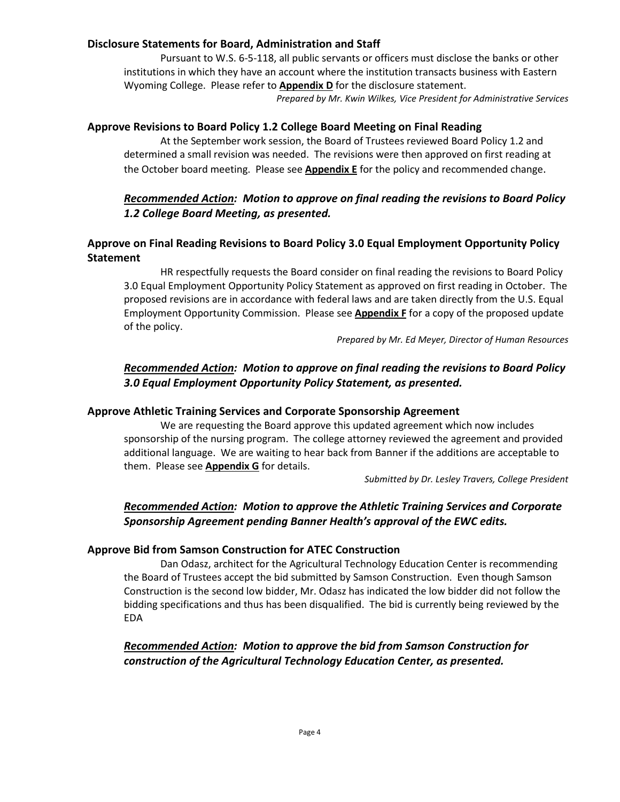#### **Disclosure Statements for Board, Administration and Staff**

Pursuant to W.S. 6-5-118, all public servants or officers must disclose the banks or other institutions in which they have an account where the institution transacts business with Eastern Wyoming College. Please refer to **Appendix D** for the disclosure statement.

*Prepared by Mr. Kwin Wilkes, Vice President for Administrative Services*

#### **Approve Revisions to Board Policy 1.2 College Board Meeting on Final Reading**

At the September work session, the Board of Trustees reviewed Board Policy 1.2 and determined a small revision was needed. The revisions were then approved on first reading at the October board meeting. Please see **Appendix E** for the policy and recommended change.

#### *Recommended Action: Motion to approve on final reading the revisions to Board Policy 1.2 College Board Meeting, as presented.*

# **Approve on Final Reading Revisions to Board Policy 3.0 Equal Employment Opportunity Policy Statement**

HR respectfully requests the Board consider on final reading the revisions to Board Policy 3.0 Equal Employment Opportunity Policy Statement as approved on first reading in October. The proposed revisions are in accordance with federal laws and are taken directly from the U.S. Equal Employment Opportunity Commission. Please see **Appendix F** for a copy of the proposed update of the policy.

*Prepared by Mr. Ed Meyer, Director of Human Resources*

# *Recommended Action: Motion to approve on final reading the revisions to Board Policy 3.0 Equal Employment Opportunity Policy Statement, as presented.*

#### **Approve Athletic Training Services and Corporate Sponsorship Agreement**

We are requesting the Board approve this updated agreement which now includes sponsorship of the nursing program. The college attorney reviewed the agreement and provided additional language. We are waiting to hear back from Banner if the additions are acceptable to them. Please see **Appendix G** for details.

*Submitted by Dr. Lesley Travers, College President*

# *Recommended Action: Motion to approve the Athletic Training Services and Corporate Sponsorship Agreement pending Banner Health's approval of the EWC edits.*

#### **Approve Bid from Samson Construction for ATEC Construction**

Dan Odasz, architect for the Agricultural Technology Education Center is recommending the Board of Trustees accept the bid submitted by Samson Construction. Even though Samson Construction is the second low bidder, Mr. Odasz has indicated the low bidder did not follow the bidding specifications and thus has been disqualified. The bid is currently being reviewed by the EDA

*Recommended Action: Motion to approve the bid from Samson Construction for construction of the Agricultural Technology Education Center, as presented.*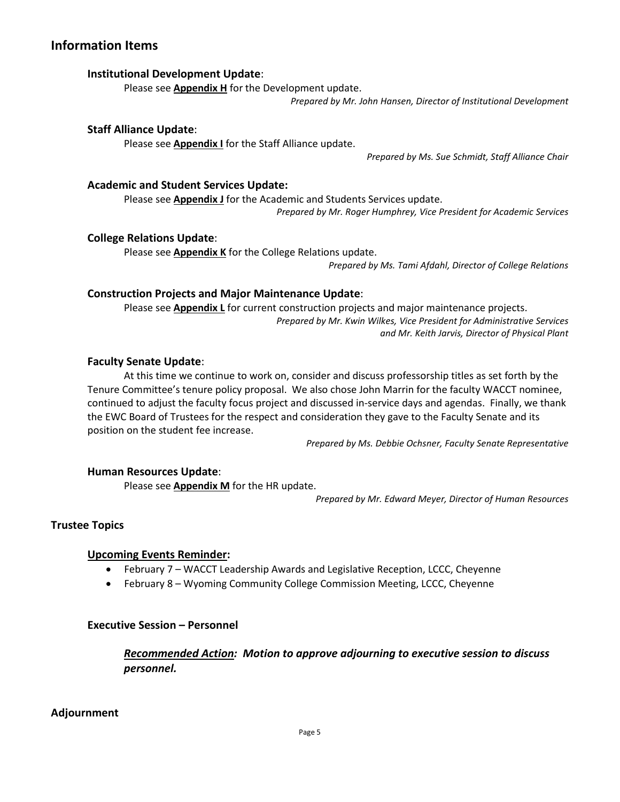# **Information Items**

#### **Institutional Development Update**:

Please see **Appendix H** for the Development update.

*Prepared by Mr. John Hansen, Director of Institutional Development*

#### **Staff Alliance Update**:

Please see **Appendix I** for the Staff Alliance update.

*Prepared by Ms. Sue Schmidt, Staff Alliance Chair*

#### **Academic and Student Services Update:**

Please see **Appendix J** for the Academic and Students Services update. *Prepared by Mr. Roger Humphrey, Vice President for Academic Services*

#### **College Relations Update**:

Please see **Appendix K** for the College Relations update.

*Prepared by Ms. Tami Afdahl, Director of College Relations*

#### **Construction Projects and Major Maintenance Update**:

Please see **Appendix L** for current construction projects and major maintenance projects. *Prepared by Mr. Kwin Wilkes, Vice President for Administrative Services and Mr. Keith Jarvis, Director of Physical Plant*

#### **Faculty Senate Update**:

At this time we continue to work on, consider and discuss professorship titles as set forth by the Tenure Committee's tenure policy proposal. We also chose John Marrin for the faculty WACCT nominee, continued to adjust the faculty focus project and discussed in-service days and agendas. Finally, we thank the EWC Board of Trustees for the respect and consideration they gave to the Faculty Senate and its position on the student fee increase.

*Prepared by Ms. Debbie Ochsner, Faculty Senate Representative*

#### **Human Resources Update**:

Please see **Appendix M** for the HR update.

*Prepared by Mr. Edward Meyer, Director of Human Resources*

#### **Trustee Topics**

#### **Upcoming Events Reminder:**

- February 7 WACCT Leadership Awards and Legislative Reception, LCCC, Cheyenne
- February 8 Wyoming Community College Commission Meeting, LCCC, Cheyenne

#### **Executive Session – Personnel**

*Recommended Action: Motion to approve adjourning to executive session to discuss personnel.*

## **Adjournment**